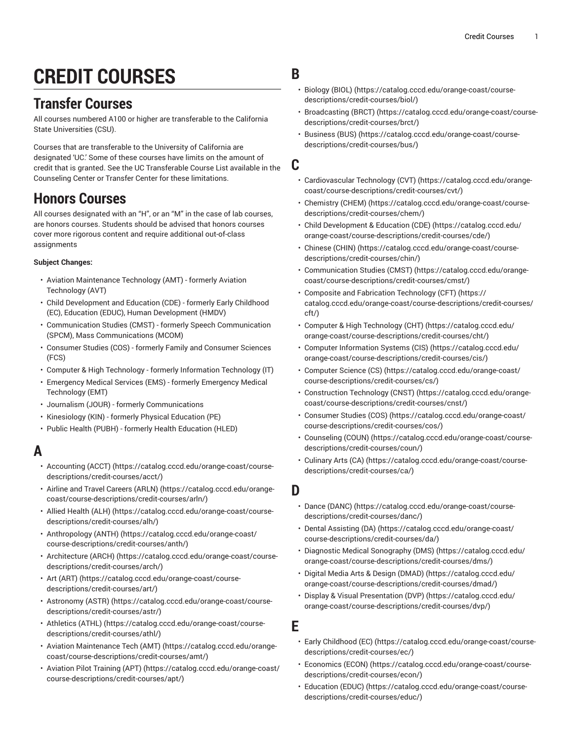# **CREDIT COURSES**

# **Transfer Courses**

All courses numbered A100 or higher are transferable to the California State Universities (CSU).

Courses that are transferable to the University of California are designated 'UC.' Some of these courses have limits on the amount of credit that is granted. See the UC Transferable Course List available in the Counseling Center or Transfer Center for these limitations.

# **Honors Courses**

All courses designated with an "H", or an "M" in the case of lab courses, are honors courses. Students should be advised that honors courses cover more rigorous content and require additional out-of-class assignments

#### **Subject Changes:**

- Aviation Maintenance Technology (AMT) formerly Aviation Technology (AVT)
- Child Development and Education (CDE) formerly Early Childhood (EC), Education (EDUC), Human Development (HMDV)
- Communication Studies (CMST) formerly Speech Communication (SPCM), Mass Communications (MCOM)
- Consumer Studies (COS) formerly Family and Consumer Sciences (FCS)
- Computer & High Technology formerly Information Technology (IT)
- Emergency Medical Services (EMS) formerly Emergency Medical Technology (EMT)
- Journalism (JOUR) formerly Communications
- Kinesiology (KIN) formerly Physical Education (PE)
- Public Health (PUBH) formerly Health Education (HLED)

# **A**

- [Accounting](https://catalog.cccd.edu/orange-coast/course-descriptions/credit-courses/acct/) (ACCT) ([https://catalog.cccd.edu/orange-coast/course](https://catalog.cccd.edu/orange-coast/course-descriptions/credit-courses/acct/)[descriptions/credit-courses/acct/](https://catalog.cccd.edu/orange-coast/course-descriptions/credit-courses/acct/))
- Airline and Travel [Careers](https://catalog.cccd.edu/orange-coast/course-descriptions/credit-courses/arln/) (ARLN) ([https://catalog.cccd.edu/orange](https://catalog.cccd.edu/orange-coast/course-descriptions/credit-courses/arln/)[coast/course-descriptions/credit-courses/arln/](https://catalog.cccd.edu/orange-coast/course-descriptions/credit-courses/arln/))
- [Allied Health \(ALH\)](https://catalog.cccd.edu/orange-coast/course-descriptions/credit-courses/alh/) ([https://catalog.cccd.edu/orange-coast/course](https://catalog.cccd.edu/orange-coast/course-descriptions/credit-courses/alh/)[descriptions/credit-courses/alh/\)](https://catalog.cccd.edu/orange-coast/course-descriptions/credit-courses/alh/)
- [Anthropology](https://catalog.cccd.edu/orange-coast/course-descriptions/credit-courses/anth/) (ANTH) ([https://catalog.cccd.edu/orange-coast/](https://catalog.cccd.edu/orange-coast/course-descriptions/credit-courses/anth/) [course-descriptions/credit-courses/anth/\)](https://catalog.cccd.edu/orange-coast/course-descriptions/credit-courses/anth/)
- [Architecture](https://catalog.cccd.edu/orange-coast/course-descriptions/credit-courses/arch/) (ARCH) [\(https://catalog.cccd.edu/orange-coast/course](https://catalog.cccd.edu/orange-coast/course-descriptions/credit-courses/arch/)[descriptions/credit-courses/arch/\)](https://catalog.cccd.edu/orange-coast/course-descriptions/credit-courses/arch/)
- Art [\(ART\)](https://catalog.cccd.edu/orange-coast/course-descriptions/credit-courses/art/) ([https://catalog.cccd.edu/orange-coast/course](https://catalog.cccd.edu/orange-coast/course-descriptions/credit-courses/art/)[descriptions/credit-courses/art/\)](https://catalog.cccd.edu/orange-coast/course-descriptions/credit-courses/art/)
- [Astronomy](https://catalog.cccd.edu/orange-coast/course-descriptions/credit-courses/astr/) (ASTR) [\(https://catalog.cccd.edu/orange-coast/course](https://catalog.cccd.edu/orange-coast/course-descriptions/credit-courses/astr/)[descriptions/credit-courses/astr/\)](https://catalog.cccd.edu/orange-coast/course-descriptions/credit-courses/astr/)
- [Athletics](https://catalog.cccd.edu/orange-coast/course-descriptions/credit-courses/athl/) (ATHL) ([https://catalog.cccd.edu/orange-coast/course](https://catalog.cccd.edu/orange-coast/course-descriptions/credit-courses/athl/)[descriptions/credit-courses/athl/](https://catalog.cccd.edu/orange-coast/course-descriptions/credit-courses/athl/))
- Aviation [Maintenance](https://catalog.cccd.edu/orange-coast/course-descriptions/credit-courses/amt/) Tech (AMT) [\(https://catalog.cccd.edu/orange](https://catalog.cccd.edu/orange-coast/course-descriptions/credit-courses/amt/)[coast/course-descriptions/credit-courses/amt/\)](https://catalog.cccd.edu/orange-coast/course-descriptions/credit-courses/amt/)
- [Aviation](https://catalog.cccd.edu/orange-coast/course-descriptions/credit-courses/apt/) Pilot Training (APT) ([https://catalog.cccd.edu/orange-coast/](https://catalog.cccd.edu/orange-coast/course-descriptions/credit-courses/apt/) [course-descriptions/credit-courses/apt/](https://catalog.cccd.edu/orange-coast/course-descriptions/credit-courses/apt/))
- **B**
	- [Biology \(BIOL\) \(https://catalog.cccd.edu/orange-coast/course](https://catalog.cccd.edu/orange-coast/course-descriptions/credit-courses/biol/)[descriptions/credit-courses/biol/](https://catalog.cccd.edu/orange-coast/course-descriptions/credit-courses/biol/))
	- [Broadcasting](https://catalog.cccd.edu/orange-coast/course-descriptions/credit-courses/brct/) (BRCT) [\(https://catalog.cccd.edu/orange-coast/course](https://catalog.cccd.edu/orange-coast/course-descriptions/credit-courses/brct/)[descriptions/credit-courses/brct/](https://catalog.cccd.edu/orange-coast/course-descriptions/credit-courses/brct/))
	- [Business \(BUS\)](https://catalog.cccd.edu/orange-coast/course-descriptions/credit-courses/bus/) ([https://catalog.cccd.edu/orange-coast/course](https://catalog.cccd.edu/orange-coast/course-descriptions/credit-courses/bus/)[descriptions/credit-courses/bus/](https://catalog.cccd.edu/orange-coast/course-descriptions/credit-courses/bus/))

#### **C**

- [Cardiovascular](https://catalog.cccd.edu/orange-coast/course-descriptions/credit-courses/cvt/) Technology (CVT) [\(https://catalog.cccd.edu/orange](https://catalog.cccd.edu/orange-coast/course-descriptions/credit-courses/cvt/)[coast/course-descriptions/credit-courses/cvt/](https://catalog.cccd.edu/orange-coast/course-descriptions/credit-courses/cvt/))
- [Chemistry](https://catalog.cccd.edu/orange-coast/course-descriptions/credit-courses/chem/) (CHEM) [\(https://catalog.cccd.edu/orange-coast/course](https://catalog.cccd.edu/orange-coast/course-descriptions/credit-courses/chem/)[descriptions/credit-courses/chem/](https://catalog.cccd.edu/orange-coast/course-descriptions/credit-courses/chem/))
- Child [Development](https://catalog.cccd.edu/orange-coast/course-descriptions/credit-courses/cde/) & Education (CDE) ([https://catalog.cccd.edu/](https://catalog.cccd.edu/orange-coast/course-descriptions/credit-courses/cde/) [orange-coast/course-descriptions/credit-courses/cde/](https://catalog.cccd.edu/orange-coast/course-descriptions/credit-courses/cde/))
- [Chinese \(CHIN\)](https://catalog.cccd.edu/orange-coast/course-descriptions/credit-courses/chin/) ([https://catalog.cccd.edu/orange-coast/course](https://catalog.cccd.edu/orange-coast/course-descriptions/credit-courses/chin/)[descriptions/credit-courses/chin/](https://catalog.cccd.edu/orange-coast/course-descriptions/credit-courses/chin/))
- [Communication Studies \(CMST\) \(https://catalog.cccd.edu/orange](https://catalog.cccd.edu/orange-coast/course-descriptions/credit-courses/cmst/)[coast/course-descriptions/credit-courses/cmst/](https://catalog.cccd.edu/orange-coast/course-descriptions/credit-courses/cmst/))
- Composite and Fabrication [Technology](https://catalog.cccd.edu/orange-coast/course-descriptions/credit-courses/cft/) (CFT) [\(https://](https://catalog.cccd.edu/orange-coast/course-descriptions/credit-courses/cft/) [catalog.cccd.edu/orange-coast/course-descriptions/credit-courses/](https://catalog.cccd.edu/orange-coast/course-descriptions/credit-courses/cft/) [cft/](https://catalog.cccd.edu/orange-coast/course-descriptions/credit-courses/cft/))
- Computer & High [Technology](https://catalog.cccd.edu/orange-coast/course-descriptions/credit-courses/cht/) (CHT) [\(https://catalog.cccd.edu/](https://catalog.cccd.edu/orange-coast/course-descriptions/credit-courses/cht/) [orange-coast/course-descriptions/credit-courses/cht/\)](https://catalog.cccd.edu/orange-coast/course-descriptions/credit-courses/cht/)
- [Computer Information Systems \(CIS\) \(https://catalog.cccd.edu/](https://catalog.cccd.edu/orange-coast/course-descriptions/credit-courses/cis/) [orange-coast/course-descriptions/credit-courses/cis/\)](https://catalog.cccd.edu/orange-coast/course-descriptions/credit-courses/cis/)
- [Computer Science \(CS\) \(https://catalog.cccd.edu/orange-coast/](https://catalog.cccd.edu/orange-coast/course-descriptions/credit-courses/cs/) [course-descriptions/credit-courses/cs/](https://catalog.cccd.edu/orange-coast/course-descriptions/credit-courses/cs/))
- [Construction](https://catalog.cccd.edu/orange-coast/course-descriptions/credit-courses/cnst/) Technology (CNST) ([https://catalog.cccd.edu/orange](https://catalog.cccd.edu/orange-coast/course-descriptions/credit-courses/cnst/)[coast/course-descriptions/credit-courses/cnst/\)](https://catalog.cccd.edu/orange-coast/course-descriptions/credit-courses/cnst/)
- [Consumer Studies \(COS\)](https://catalog.cccd.edu/orange-coast/course-descriptions/credit-courses/cos/) ([https://catalog.cccd.edu/orange-coast/](https://catalog.cccd.edu/orange-coast/course-descriptions/credit-courses/cos/) [course-descriptions/credit-courses/cos/\)](https://catalog.cccd.edu/orange-coast/course-descriptions/credit-courses/cos/)
- [Counseling \(COUN\) \(https://catalog.cccd.edu/orange-coast/course](https://catalog.cccd.edu/orange-coast/course-descriptions/credit-courses/coun/)[descriptions/credit-courses/coun/](https://catalog.cccd.edu/orange-coast/course-descriptions/credit-courses/coun/))
- [Culinary](https://catalog.cccd.edu/orange-coast/course-descriptions/credit-courses/ca/) Arts (CA) ([https://catalog.cccd.edu/orange-coast/course](https://catalog.cccd.edu/orange-coast/course-descriptions/credit-courses/ca/)[descriptions/credit-courses/ca/\)](https://catalog.cccd.edu/orange-coast/course-descriptions/credit-courses/ca/)

#### **D**

- Dance [\(DANC\)](https://catalog.cccd.edu/orange-coast/course-descriptions/credit-courses/danc/) [\(https://catalog.cccd.edu/orange-coast/course](https://catalog.cccd.edu/orange-coast/course-descriptions/credit-courses/danc/)[descriptions/credit-courses/danc/\)](https://catalog.cccd.edu/orange-coast/course-descriptions/credit-courses/danc/)
- Dental [Assisting](https://catalog.cccd.edu/orange-coast/course-descriptions/credit-courses/da/) (DA) [\(https://catalog.cccd.edu/orange-coast/](https://catalog.cccd.edu/orange-coast/course-descriptions/credit-courses/da/) [course-descriptions/credit-courses/da/\)](https://catalog.cccd.edu/orange-coast/course-descriptions/credit-courses/da/)
- [Diagnostic Medical Sonography \(DMS\)](https://catalog.cccd.edu/orange-coast/course-descriptions/credit-courses/dms/) ([https://catalog.cccd.edu/](https://catalog.cccd.edu/orange-coast/course-descriptions/credit-courses/dms/) [orange-coast/course-descriptions/credit-courses/dms/](https://catalog.cccd.edu/orange-coast/course-descriptions/credit-courses/dms/))
- Digital Media Arts & Design [\(DMAD\)](https://catalog.cccd.edu/orange-coast/course-descriptions/credit-courses/dmad/) ([https://catalog.cccd.edu/](https://catalog.cccd.edu/orange-coast/course-descriptions/credit-courses/dmad/) [orange-coast/course-descriptions/credit-courses/dmad/\)](https://catalog.cccd.edu/orange-coast/course-descriptions/credit-courses/dmad/)
- Display & Visual [Presentation](https://catalog.cccd.edu/orange-coast/course-descriptions/credit-courses/dvp/) (DVP) [\(https://catalog.cccd.edu/](https://catalog.cccd.edu/orange-coast/course-descriptions/credit-courses/dvp/) [orange-coast/course-descriptions/credit-courses/dvp/](https://catalog.cccd.edu/orange-coast/course-descriptions/credit-courses/dvp/))

**E**

- Early [Childhood](https://catalog.cccd.edu/orange-coast/course-descriptions/credit-courses/ec/) (EC) [\(https://catalog.cccd.edu/orange-coast/course](https://catalog.cccd.edu/orange-coast/course-descriptions/credit-courses/ec/)[descriptions/credit-courses/ec/\)](https://catalog.cccd.edu/orange-coast/course-descriptions/credit-courses/ec/)
- [Economics](https://catalog.cccd.edu/orange-coast/course-descriptions/credit-courses/econ/) (ECON) [\(https://catalog.cccd.edu/orange-coast/course](https://catalog.cccd.edu/orange-coast/course-descriptions/credit-courses/econ/)[descriptions/credit-courses/econ/\)](https://catalog.cccd.edu/orange-coast/course-descriptions/credit-courses/econ/)
- [Education](https://catalog.cccd.edu/orange-coast/course-descriptions/credit-courses/educ/) (EDUC) ([https://catalog.cccd.edu/orange-coast/course](https://catalog.cccd.edu/orange-coast/course-descriptions/credit-courses/educ/)[descriptions/credit-courses/educ/\)](https://catalog.cccd.edu/orange-coast/course-descriptions/credit-courses/educ/)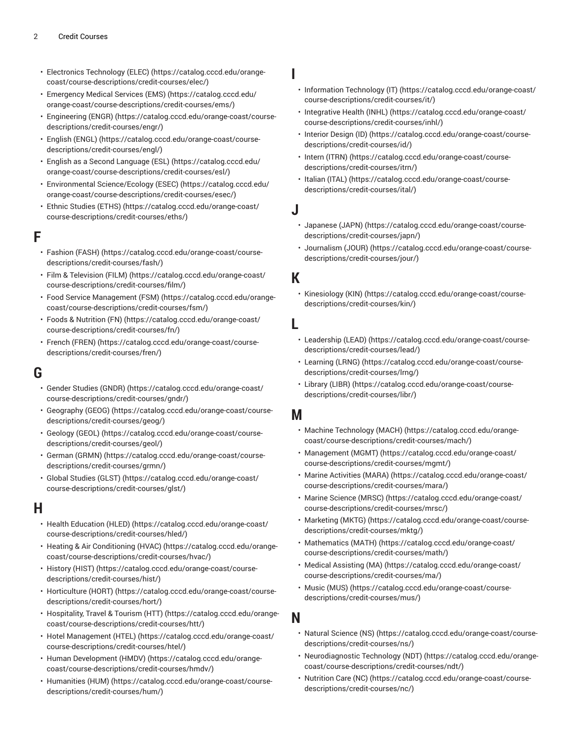- Electronics [Technology](https://catalog.cccd.edu/orange-coast/course-descriptions/credit-courses/elec/) (ELEC) [\(https://catalog.cccd.edu/orange](https://catalog.cccd.edu/orange-coast/course-descriptions/credit-courses/elec/)[coast/course-descriptions/credit-courses/elec/\)](https://catalog.cccd.edu/orange-coast/course-descriptions/credit-courses/elec/)
- [Emergency](https://catalog.cccd.edu/orange-coast/course-descriptions/credit-courses/ems/) Medical Services (EMS) ([https://catalog.cccd.edu/](https://catalog.cccd.edu/orange-coast/course-descriptions/credit-courses/ems/) [orange-coast/course-descriptions/credit-courses/ems/](https://catalog.cccd.edu/orange-coast/course-descriptions/credit-courses/ems/))
- [Engineering \(ENGR\)](https://catalog.cccd.edu/orange-coast/course-descriptions/credit-courses/engr/) ([https://catalog.cccd.edu/orange-coast/course](https://catalog.cccd.edu/orange-coast/course-descriptions/credit-courses/engr/)[descriptions/credit-courses/engr/\)](https://catalog.cccd.edu/orange-coast/course-descriptions/credit-courses/engr/)
- [English \(ENGL\)](https://catalog.cccd.edu/orange-coast/course-descriptions/credit-courses/engl/) ([https://catalog.cccd.edu/orange-coast/course](https://catalog.cccd.edu/orange-coast/course-descriptions/credit-courses/engl/)[descriptions/credit-courses/engl/](https://catalog.cccd.edu/orange-coast/course-descriptions/credit-courses/engl/))
- [English as a Second Language \(ESL\)](https://catalog.cccd.edu/orange-coast/course-descriptions/credit-courses/esl/) ([https://catalog.cccd.edu/](https://catalog.cccd.edu/orange-coast/course-descriptions/credit-courses/esl/) [orange-coast/course-descriptions/credit-courses/esl/](https://catalog.cccd.edu/orange-coast/course-descriptions/credit-courses/esl/))
- Environmental [Science/Ecology](https://catalog.cccd.edu/orange-coast/course-descriptions/credit-courses/esec/) (ESEC) [\(https://catalog.cccd.edu/](https://catalog.cccd.edu/orange-coast/course-descriptions/credit-courses/esec/) [orange-coast/course-descriptions/credit-courses/esec/\)](https://catalog.cccd.edu/orange-coast/course-descriptions/credit-courses/esec/)
- Ethnic [Studies](https://catalog.cccd.edu/orange-coast/course-descriptions/credit-courses/eths/) (ETHS) [\(https://catalog.cccd.edu/orange-coast/](https://catalog.cccd.edu/orange-coast/course-descriptions/credit-courses/eths/) [course-descriptions/credit-courses/eths/](https://catalog.cccd.edu/orange-coast/course-descriptions/credit-courses/eths/))

#### **F**

- [Fashion](https://catalog.cccd.edu/orange-coast/course-descriptions/credit-courses/fash/) (FASH) ([https://catalog.cccd.edu/orange-coast/course](https://catalog.cccd.edu/orange-coast/course-descriptions/credit-courses/fash/)[descriptions/credit-courses/fash/\)](https://catalog.cccd.edu/orange-coast/course-descriptions/credit-courses/fash/)
- Film & [Television](https://catalog.cccd.edu/orange-coast/course-descriptions/credit-courses/film/) (FILM) ([https://catalog.cccd.edu/orange-coast/](https://catalog.cccd.edu/orange-coast/course-descriptions/credit-courses/film/) [course-descriptions/credit-courses/film/\)](https://catalog.cccd.edu/orange-coast/course-descriptions/credit-courses/film/)
- Food Service [Management](https://catalog.cccd.edu/orange-coast/course-descriptions/credit-courses/fsm/) (FSM) ([https://catalog.cccd.edu/orange](https://catalog.cccd.edu/orange-coast/course-descriptions/credit-courses/fsm/)[coast/course-descriptions/credit-courses/fsm/\)](https://catalog.cccd.edu/orange-coast/course-descriptions/credit-courses/fsm/)
- Foods & [Nutrition](https://catalog.cccd.edu/orange-coast/course-descriptions/credit-courses/fn/) (FN) [\(https://catalog.cccd.edu/orange-coast/](https://catalog.cccd.edu/orange-coast/course-descriptions/credit-courses/fn/) [course-descriptions/credit-courses/fn/\)](https://catalog.cccd.edu/orange-coast/course-descriptions/credit-courses/fn/)
- French [\(FREN\)](https://catalog.cccd.edu/orange-coast/course-descriptions/credit-courses/fren/) [\(https://catalog.cccd.edu/orange-coast/course](https://catalog.cccd.edu/orange-coast/course-descriptions/credit-courses/fren/)[descriptions/credit-courses/fren/\)](https://catalog.cccd.edu/orange-coast/course-descriptions/credit-courses/fren/)

# **G**

- [Gender Studies \(GNDR\)](https://catalog.cccd.edu/orange-coast/course-descriptions/credit-courses/gndr/) ([https://catalog.cccd.edu/orange-coast/](https://catalog.cccd.edu/orange-coast/course-descriptions/credit-courses/gndr/) [course-descriptions/credit-courses/gndr/\)](https://catalog.cccd.edu/orange-coast/course-descriptions/credit-courses/gndr/)
- [Geography \(GEOG\)](https://catalog.cccd.edu/orange-coast/course-descriptions/credit-courses/geog/) ([https://catalog.cccd.edu/orange-coast/course](https://catalog.cccd.edu/orange-coast/course-descriptions/credit-courses/geog/)[descriptions/credit-courses/geog/\)](https://catalog.cccd.edu/orange-coast/course-descriptions/credit-courses/geog/)
- [Geology \(GEOL\) \(https://catalog.cccd.edu/orange-coast/course](https://catalog.cccd.edu/orange-coast/course-descriptions/credit-courses/geol/)[descriptions/credit-courses/geol/](https://catalog.cccd.edu/orange-coast/course-descriptions/credit-courses/geol/))
- [German \(GRMN\)](https://catalog.cccd.edu/orange-coast/course-descriptions/credit-courses/grmn/) ([https://catalog.cccd.edu/orange-coast/course](https://catalog.cccd.edu/orange-coast/course-descriptions/credit-courses/grmn/)[descriptions/credit-courses/grmn/\)](https://catalog.cccd.edu/orange-coast/course-descriptions/credit-courses/grmn/)
- [Global Studies \(GLST\)](https://catalog.cccd.edu/orange-coast/course-descriptions/credit-courses/glst/) ([https://catalog.cccd.edu/orange-coast/](https://catalog.cccd.edu/orange-coast/course-descriptions/credit-courses/glst/) [course-descriptions/credit-courses/glst/\)](https://catalog.cccd.edu/orange-coast/course-descriptions/credit-courses/glst/)

# **H**

- Health [Education](https://catalog.cccd.edu/orange-coast/course-descriptions/credit-courses/hled/) (HLED) ([https://catalog.cccd.edu/orange-coast/](https://catalog.cccd.edu/orange-coast/course-descriptions/credit-courses/hled/) [course-descriptions/credit-courses/hled/\)](https://catalog.cccd.edu/orange-coast/course-descriptions/credit-courses/hled/)
- Heating & Air [Conditioning](https://catalog.cccd.edu/orange-coast/course-descriptions/credit-courses/hvac/) (HVAC) [\(https://catalog.cccd.edu/orange](https://catalog.cccd.edu/orange-coast/course-descriptions/credit-courses/hvac/)[coast/course-descriptions/credit-courses/hvac/\)](https://catalog.cccd.edu/orange-coast/course-descriptions/credit-courses/hvac/)
- [History](https://catalog.cccd.edu/orange-coast/course-descriptions/credit-courses/hist/) (HIST) ([https://catalog.cccd.edu/orange-coast/course](https://catalog.cccd.edu/orange-coast/course-descriptions/credit-courses/hist/)[descriptions/credit-courses/hist/](https://catalog.cccd.edu/orange-coast/course-descriptions/credit-courses/hist/))
- [Horticulture](https://catalog.cccd.edu/orange-coast/course-descriptions/credit-courses/hort/) (HORT) ([https://catalog.cccd.edu/orange-coast/course](https://catalog.cccd.edu/orange-coast/course-descriptions/credit-courses/hort/)[descriptions/credit-courses/hort/](https://catalog.cccd.edu/orange-coast/course-descriptions/credit-courses/hort/))
- [Hospitality,](https://catalog.cccd.edu/orange-coast/course-descriptions/credit-courses/htt/) Travel & Tourism (HTT) ([https://catalog.cccd.edu/orange](https://catalog.cccd.edu/orange-coast/course-descriptions/credit-courses/htt/)[coast/course-descriptions/credit-courses/htt/\)](https://catalog.cccd.edu/orange-coast/course-descriptions/credit-courses/htt/)
- Hotel [Management](https://catalog.cccd.edu/orange-coast/course-descriptions/credit-courses/htel/) (HTEL) [\(https://catalog.cccd.edu/orange-coast/](https://catalog.cccd.edu/orange-coast/course-descriptions/credit-courses/htel/) [course-descriptions/credit-courses/htel/\)](https://catalog.cccd.edu/orange-coast/course-descriptions/credit-courses/htel/)
- Human [Development](https://catalog.cccd.edu/orange-coast/course-descriptions/credit-courses/hmdv/) (HMDV) [\(https://catalog.cccd.edu/orange](https://catalog.cccd.edu/orange-coast/course-descriptions/credit-courses/hmdv/)[coast/course-descriptions/credit-courses/hmdv/\)](https://catalog.cccd.edu/orange-coast/course-descriptions/credit-courses/hmdv/)
- [Humanities \(HUM\) \(https://catalog.cccd.edu/orange-coast/course](https://catalog.cccd.edu/orange-coast/course-descriptions/credit-courses/hum/)[descriptions/credit-courses/hum/\)](https://catalog.cccd.edu/orange-coast/course-descriptions/credit-courses/hum/)
- [Information](https://catalog.cccd.edu/orange-coast/course-descriptions/credit-courses/it/) Technology (IT) ([https://catalog.cccd.edu/orange-coast/](https://catalog.cccd.edu/orange-coast/course-descriptions/credit-courses/it/) [course-descriptions/credit-courses/it/\)](https://catalog.cccd.edu/orange-coast/course-descriptions/credit-courses/it/)
- [Integrative](https://catalog.cccd.edu/orange-coast/course-descriptions/credit-courses/inhl/) Health (INHL) [\(https://catalog.cccd.edu/orange-coast/](https://catalog.cccd.edu/orange-coast/course-descriptions/credit-courses/inhl/) [course-descriptions/credit-courses/inhl/\)](https://catalog.cccd.edu/orange-coast/course-descriptions/credit-courses/inhl/)
- [Interior Design \(ID\) \(https://catalog.cccd.edu/orange-coast/course](https://catalog.cccd.edu/orange-coast/course-descriptions/credit-courses/id/)[descriptions/credit-courses/id/\)](https://catalog.cccd.edu/orange-coast/course-descriptions/credit-courses/id/)
- Intern [\(ITRN\) \(https://catalog.cccd.edu/orange-coast/course](https://catalog.cccd.edu/orange-coast/course-descriptions/credit-courses/itrn/)[descriptions/credit-courses/itrn/](https://catalog.cccd.edu/orange-coast/course-descriptions/credit-courses/itrn/))
- [Italian](https://catalog.cccd.edu/orange-coast/course-descriptions/credit-courses/ital/) (ITAL) ([https://catalog.cccd.edu/orange-coast/course](https://catalog.cccd.edu/orange-coast/course-descriptions/credit-courses/ital/)[descriptions/credit-courses/ital/](https://catalog.cccd.edu/orange-coast/course-descriptions/credit-courses/ital/))

#### **J**

**I**

- [Japanese](https://catalog.cccd.edu/orange-coast/course-descriptions/credit-courses/japn/) (JAPN) ([https://catalog.cccd.edu/orange-coast/course](https://catalog.cccd.edu/orange-coast/course-descriptions/credit-courses/japn/)[descriptions/credit-courses/japn/\)](https://catalog.cccd.edu/orange-coast/course-descriptions/credit-courses/japn/)
- [Journalism \(JOUR\) \(https://catalog.cccd.edu/orange-coast/course](https://catalog.cccd.edu/orange-coast/course-descriptions/credit-courses/jour/)[descriptions/credit-courses/jour/](https://catalog.cccd.edu/orange-coast/course-descriptions/credit-courses/jour/))

#### **K**

• [Kinesiology \(KIN\) \(https://catalog.cccd.edu/orange-coast/course](https://catalog.cccd.edu/orange-coast/course-descriptions/credit-courses/kin/)[descriptions/credit-courses/kin/\)](https://catalog.cccd.edu/orange-coast/course-descriptions/credit-courses/kin/)

#### **L**

- [Leadership \(LEAD\) \(https://catalog.cccd.edu/orange-coast/course](https://catalog.cccd.edu/orange-coast/course-descriptions/credit-courses/lead/)[descriptions/credit-courses/lead/](https://catalog.cccd.edu/orange-coast/course-descriptions/credit-courses/lead/))
- [Learning \(LRNG\) \(https://catalog.cccd.edu/orange-coast/course](https://catalog.cccd.edu/orange-coast/course-descriptions/credit-courses/lrng/)[descriptions/credit-courses/lrng/\)](https://catalog.cccd.edu/orange-coast/course-descriptions/credit-courses/lrng/)
- [Library](https://catalog.cccd.edu/orange-coast/course-descriptions/credit-courses/libr/) (LIBR) [\(https://catalog.cccd.edu/orange-coast/course](https://catalog.cccd.edu/orange-coast/course-descriptions/credit-courses/libr/)[descriptions/credit-courses/libr/](https://catalog.cccd.edu/orange-coast/course-descriptions/credit-courses/libr/))

# **M**

- Machine [Technology](https://catalog.cccd.edu/orange-coast/course-descriptions/credit-courses/mach/) (MACH) ([https://catalog.cccd.edu/orange](https://catalog.cccd.edu/orange-coast/course-descriptions/credit-courses/mach/)[coast/course-descriptions/credit-courses/mach/](https://catalog.cccd.edu/orange-coast/course-descriptions/credit-courses/mach/))
- [Management](https://catalog.cccd.edu/orange-coast/course-descriptions/credit-courses/mgmt/) (MGMT) [\(https://catalog.cccd.edu/orange-coast/](https://catalog.cccd.edu/orange-coast/course-descriptions/credit-courses/mgmt/) [course-descriptions/credit-courses/mgmt/](https://catalog.cccd.edu/orange-coast/course-descriptions/credit-courses/mgmt/))
- Marine [Activities](https://catalog.cccd.edu/orange-coast/course-descriptions/credit-courses/mara/) (MARA) [\(https://catalog.cccd.edu/orange-coast/](https://catalog.cccd.edu/orange-coast/course-descriptions/credit-courses/mara/) [course-descriptions/credit-courses/mara/](https://catalog.cccd.edu/orange-coast/course-descriptions/credit-courses/mara/))
- Marine [Science](https://catalog.cccd.edu/orange-coast/course-descriptions/credit-courses/mrsc/) (MRSC) ([https://catalog.cccd.edu/orange-coast/](https://catalog.cccd.edu/orange-coast/course-descriptions/credit-courses/mrsc/) [course-descriptions/credit-courses/mrsc/\)](https://catalog.cccd.edu/orange-coast/course-descriptions/credit-courses/mrsc/)
- [Marketing](https://catalog.cccd.edu/orange-coast/course-descriptions/credit-courses/mktg/) (MKTG) ([https://catalog.cccd.edu/orange-coast/course](https://catalog.cccd.edu/orange-coast/course-descriptions/credit-courses/mktg/)[descriptions/credit-courses/mktg/\)](https://catalog.cccd.edu/orange-coast/course-descriptions/credit-courses/mktg/)
- [Mathematics](https://catalog.cccd.edu/orange-coast/course-descriptions/credit-courses/math/) (MATH) ([https://catalog.cccd.edu/orange-coast/](https://catalog.cccd.edu/orange-coast/course-descriptions/credit-courses/math/) [course-descriptions/credit-courses/math/](https://catalog.cccd.edu/orange-coast/course-descriptions/credit-courses/math/))
- Medical [Assisting](https://catalog.cccd.edu/orange-coast/course-descriptions/credit-courses/ma/) (MA) ([https://catalog.cccd.edu/orange-coast/](https://catalog.cccd.edu/orange-coast/course-descriptions/credit-courses/ma/) [course-descriptions/credit-courses/ma/](https://catalog.cccd.edu/orange-coast/course-descriptions/credit-courses/ma/))
- [Music \(MUS\)](https://catalog.cccd.edu/orange-coast/course-descriptions/credit-courses/mus/) ([https://catalog.cccd.edu/orange-coast/course](https://catalog.cccd.edu/orange-coast/course-descriptions/credit-courses/mus/)[descriptions/credit-courses/mus/\)](https://catalog.cccd.edu/orange-coast/course-descriptions/credit-courses/mus/)

# **N**

- [Natural Science \(NS\)](https://catalog.cccd.edu/orange-coast/course-descriptions/credit-courses/ns/) [\(https://catalog.cccd.edu/orange-coast/course](https://catalog.cccd.edu/orange-coast/course-descriptions/credit-courses/ns/)[descriptions/credit-courses/ns/\)](https://catalog.cccd.edu/orange-coast/course-descriptions/credit-courses/ns/)
- [Neurodiagnostic](https://catalog.cccd.edu/orange-coast/course-descriptions/credit-courses/ndt/) Technology (NDT) ([https://catalog.cccd.edu/orange](https://catalog.cccd.edu/orange-coast/course-descriptions/credit-courses/ndt/)[coast/course-descriptions/credit-courses/ndt/](https://catalog.cccd.edu/orange-coast/course-descriptions/credit-courses/ndt/))
- [Nutrition](https://catalog.cccd.edu/orange-coast/course-descriptions/credit-courses/nc/) Care (NC) ([https://catalog.cccd.edu/orange-coast/course](https://catalog.cccd.edu/orange-coast/course-descriptions/credit-courses/nc/)[descriptions/credit-courses/nc/\)](https://catalog.cccd.edu/orange-coast/course-descriptions/credit-courses/nc/)